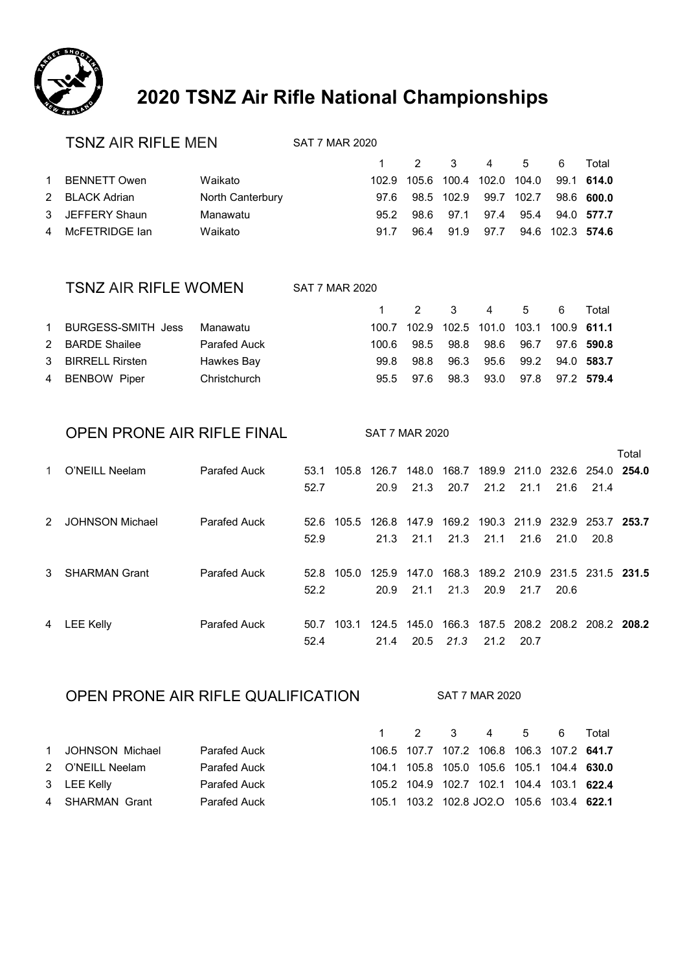

# **2020 TSNZ Air Rifle National Championships**

#### TSNZ AIR RIFLE MEN SAT 7 MAR 2020

|              |                                                                       |      |              |                | - 6 -          | Total                                                                                                                            |
|--------------|-----------------------------------------------------------------------|------|--------------|----------------|----------------|----------------------------------------------------------------------------------------------------------------------------------|
|              | Waikato                                                               |      |              |                |                |                                                                                                                                  |
|              | North Canterbury                                                      |      |              |                |                |                                                                                                                                  |
|              | Manawatu                                                              |      |              |                |                |                                                                                                                                  |
|              | Waikato                                                               | 91.7 |              |                |                |                                                                                                                                  |
| $\mathbf{1}$ | BENNETT Owen<br>2 BLACK Adrian<br>3 JEFFERY Shaun<br>4 McFETRIDGE lan |      | 97.6<br>95.2 | 98.6 97.1 97.4 | 96.4 91.9 97.7 | 1 2 3 4 5<br>102.9 105.6 100.4 102.0 104.0 99.1 614.0<br>98.5 102.9 99.7 102.7 98.6 600.0<br>95.4 94.0 577.7<br>94.6 102.3 574.6 |

#### TSNZ AIR RIFLE WOMEN SAT 7 MAR 2020

|           |                    |              |        | 1 2 3 4 5 6 Total                         |                                  |  |  |
|-----------|--------------------|--------------|--------|-------------------------------------------|----------------------------------|--|--|
| $1 \quad$ | BURGESS-SMITH Jess | Manawatu     |        | 100.7 102.9 102.5 101.0 103.1 100.9 611.1 |                                  |  |  |
|           | 2 BARDE Shailee    | Parafed Auck | 100 G. |                                           | 98.5 98.8 98.6 96.7 97.6 590.8   |  |  |
|           | 3 BIRRELL Rirsten  | Hawkes Bay   | 99.8   | 98.8                                      | 96.3 95.6 99.2 94.0 583.7        |  |  |
|           | 4 BENBOW Piper     | Christchurch |        | 95.5 97.6                                 | 98.3 93.0 97.8 97.2 <b>579.4</b> |  |  |

#### OPEN PRONE AIR RIFLE FINAL SAT 7 MAR 2020

|   |                        |                     |      |       |       |       |       |                         |      |                                     |             | Total |
|---|------------------------|---------------------|------|-------|-------|-------|-------|-------------------------|------|-------------------------------------|-------------|-------|
|   | O'NEILL Neelam         | <b>Parafed Auck</b> | 53.1 | 105.8 | 126.7 | 148.0 | 168.7 |                         |      | 189.9 211.0 232.6 254.0 254.0       |             |       |
|   |                        |                     | 52.7 |       | 20.9  | 21.3  | 20.7  | 21.2                    | 21.1 | 21.6                                | 21.4        |       |
| 2 | <b>JOHNSON Michael</b> | <b>Parafed Auck</b> | 52.6 | 105.5 | 126.8 | 147.9 |       | 169.2 190.3 211.9 232.9 |      |                                     | 253.7 253.7 |       |
|   |                        |                     | 52.9 |       | 21.3  | 21.1  | 21.3  | 21.1                    | 21.6 | 21.0                                | 20.8        |       |
| 3 | <b>SHARMAN Grant</b>   | <b>Parafed Auck</b> | 52.8 | 105.0 | 125.9 | 147.0 | 168.3 |                         |      | 189.2 210.9 231.5 231.5 231.5       |             |       |
|   |                        |                     | 52.2 |       | 20.9  | 21.1  | 21.3  | 20.9                    | 21.7 | 20.6                                |             |       |
| 4 | LEE Kelly              | <b>Parafed Auck</b> | 50.7 | 103.1 | 124.5 | 145.0 |       |                         |      | 166.3 187.5 208.2 208.2 208.2 208.2 |             |       |
|   |                        |                     | 52.4 |       | 21.4  | 20.5  | 21.3  | 21.2                    | 20.7 |                                     |             |       |

#### OPEN PRONE AIR RIFLE QUALIFICATION SAT 7 MAR 2020

|                   |                     |  | 1 2 3 4 5 6 Total                         |  |  |
|-------------------|---------------------|--|-------------------------------------------|--|--|
| 1 JOHNSON Michael | Parafed Auck        |  | 106.5 107.7 107.2 106.8 106.3 107.2 641.7 |  |  |
| 2 O'NEILL Neelam  | <b>Parafed Auck</b> |  | 104.1 105.8 105.0 105.6 105.1 104.4 630.0 |  |  |
| 3 LEE Kelly       | Parafed Auck        |  | 105.2 104.9 102.7 102.1 104.4 103.1 622.4 |  |  |
| 4 SHARMAN Grant   | Parafed Auck        |  | 105.1 103.2 102.8 JO2.O 105.6 103.4 622.1 |  |  |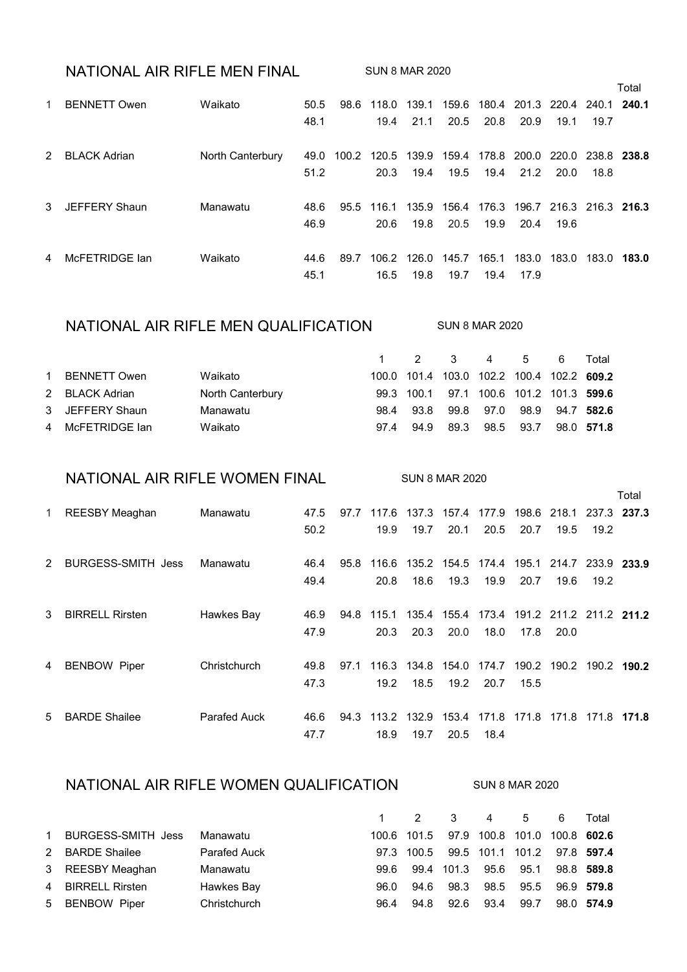### NATIONAL AIR RIFLE MEN FINAL SUN 8 MAR 2020

|              |                     |                  |      |      |                   |       |       |       |                               |       |             | Total |
|--------------|---------------------|------------------|------|------|-------------------|-------|-------|-------|-------------------------------|-------|-------------|-------|
|              | <b>BENNETT Owen</b> | Waikato          | 50.5 | 98.6 | 118.0             | 139.1 | 159.6 |       | 180.4 201.3 220.4 240.1       |       |             | 240.1 |
|              |                     |                  | 48.1 |      | 19.4              | 21.1  | 20.5  | 20.8  | 20.9                          | 19.1  | 19.7        |       |
| 2            | <b>BLACK Adrian</b> | North Canterbury | 49.0 |      | 100.2 120.5 139.9 |       | 159.4 |       | 178.8 200.0 220.0             |       | 238.8 238.8 |       |
|              |                     |                  | 51.2 |      | 20.3              | 19.4  | 19.5  | 19.4  | 21.2                          | 20.0  | 18.8        |       |
| $\mathbf{3}$ | JEFFERY Shaun       | Manawatu         | 48.6 |      | 95.5 116.1        | 135.9 | 156.4 |       | 176.3 196.7 216.3 216.3 216.3 |       |             |       |
|              |                     |                  | 46.9 |      | 20.6              | 19.8  | 20.5  | 19.9  | 20.4                          | 19.6  |             |       |
| 4            | McFETRIDGE lan      | Waikato          | 44.6 | 89.7 | 106.2             | 126.0 | 145.7 | 165.1 | 183.0                         | 183.0 | 183.0 183.0 |       |
|              |                     |                  | 45.1 |      | 16.5              | 19.8  | 19.7  | 19.4  | 17.9                          |       |             |       |

#### NATIONAL AIR RIFLE MEN QUALIFICATION SUN 8 MAR 2020

 2 3 4 5 6 Total BENNETT Owen Waikato 100.0 101.4 103.0 102.2 100.4 102.2 **609.2** BLACK Adrian North Canterbury 99.3 100.1 97.1 100.6 101.2 101.3 **599.6** JEFFERY Shaun Manawatu 98.4 93.8 99.8 97.0 98.9 94.7 **582.6** McFETRIDGE Ian Waikato 97.4 94.9 89.3 98.5 93.7 98.0 **571.8**

#### NATIONAL AIR RIFLE WOMEN FINAL SUN 8 MAR 2020

|    |                           |                     |      |      |       |             |                   |                   |       |      |                                                 | l otal |
|----|---------------------------|---------------------|------|------|-------|-------------|-------------------|-------------------|-------|------|-------------------------------------------------|--------|
| 1. | <b>REESBY Meaghan</b>     | Manawatu            | 47.5 | 97.7 |       |             |                   |                   |       |      | 117.6 137.3 157.4 177.9 198.6 218.1 237.3 237.3 |        |
|    |                           |                     | 50.2 |      | 19.9  | 19.7        | 20.1              | 20.5              | 20.7  | 19.5 | 19.2                                            |        |
| 2  | <b>BURGESS-SMITH Jess</b> | Manawatu            | 46.4 | 95.8 | 116.6 |             | 135.2 154.5 174.4 |                   | 195.1 |      | 214.7 233.9 233.9                               |        |
|    |                           |                     |      |      |       |             |                   |                   |       |      |                                                 |        |
|    |                           |                     | 49.4 |      | 20.8  | 18.6        | 19.3              | 19.9              | 20.7  | 19.6 | 19.2                                            |        |
|    |                           |                     |      |      |       |             |                   |                   |       |      |                                                 |        |
| 3  | <b>BIRRELL Rirsten</b>    | Hawkes Bay          | 46.9 | 94.8 | 115.1 | 135.4       |                   |                   |       |      | 155.4 173.4 191.2 211.2 211.2 211.2             |        |
|    |                           |                     | 47.9 |      | 20.3  | 20.3        | 20.0              | 18.0              | 17.8  | 20.0 |                                                 |        |
|    |                           |                     |      |      |       |             |                   |                   |       |      |                                                 |        |
| 4  | <b>BENBOW Piper</b>       | Christchurch        | 49.8 | 97.1 |       |             |                   |                   |       |      | 116.3 134.8 154.0 174.7 190.2 190.2 190.2 190.2 |        |
|    |                           |                     | 47.3 |      | 19.2  | 18.5        | 19.2              | 20.7              | 15.5  |      |                                                 |        |
|    |                           |                     |      |      |       |             |                   |                   |       |      |                                                 |        |
| 5  | <b>BARDE Shailee</b>      | <b>Parafed Auck</b> | 46.6 | 94.3 |       | 113.2 132.9 |                   | 153.4 171.8 171.8 |       |      | 171.8 171.8 171.8                               |        |
|    |                           |                     | 47.7 |      | 18.9  | 19.7        | 20.5              | 18.4              |       |      |                                                 |        |

#### NATIONAL AIR RIFLE WOMEN QUALIFICATION SUN 8 MAR 2020

 $\overline{a}$   $\overline{a}$ 

|                      |                     |      | 1 2 3 4 5 6 Total                        |      |      |                      |            |
|----------------------|---------------------|------|------------------------------------------|------|------|----------------------|------------|
| 1 BURGESS-SMITH Jess | Manawatu            |      | 100.6 101.5 97.9 100.8 101.0 100.8 602.6 |      |      |                      |            |
| 2 BARDE Shailee      | <b>Parafed Auck</b> |      | 97.3 100.5 99.5 101.1 101.2 97.8 597.4   |      |      |                      |            |
| 3 REESBY Meaghan     | Manawatu            |      | 99.6 99.4 101.3 95.6 95.1 98.8 589.8     |      |      |                      |            |
| 4 BIRRELL Rirsten    | Hawkes Bay          | 96.0 | 94.6                                     | 98.3 |      | 98.5 95.5 96.9 579.8 |            |
| 5 BENBOW Piper       | Christchurch        | 96.4 | 94.8                                     | 92.6 | 93.4 | 99.7                 | 98.0 574.9 |